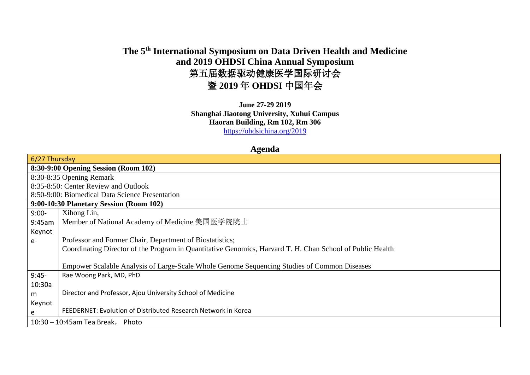## **The 5th International Symposium on Data Driven Health and Medicine and 2019 OHDSI China Annual Symposium** 第五届数据驱动健康医学国际研讨会 暨 **2019** 年 **OHDSI** 中国年会

**June 27-29 2019 Shanghai Jiaotong University, Xuhui Campus Haoran Building, Rm 102, Rm 306** <https://ohdsichina.org/2019>

## **Agenda**

| $6/27$ Thursday                                                                                           |  |  |  |  |
|-----------------------------------------------------------------------------------------------------------|--|--|--|--|
| 8:30-9:00 Opening Session (Room 102)                                                                      |  |  |  |  |
| 8:30-8:35 Opening Remark                                                                                  |  |  |  |  |
| 8:35-8:50: Center Review and Outlook                                                                      |  |  |  |  |
| 8:50-9:00: Biomedical Data Science Presentation                                                           |  |  |  |  |
| 9:00-10:30 Planetary Session (Room 102)                                                                   |  |  |  |  |
| $9:00-$<br>Xihong Lin,                                                                                    |  |  |  |  |
| Member of National Academy of Medicine 美国医学院院士<br>9:45am                                                  |  |  |  |  |
| Keynot                                                                                                    |  |  |  |  |
| Professor and Former Chair, Department of Biostatistics;<br>e                                             |  |  |  |  |
| Coordinating Director of the Program in Quantitative Genomics, Harvard T. H. Chan School of Public Health |  |  |  |  |
|                                                                                                           |  |  |  |  |
| Empower Scalable Analysis of Large-Scale Whole Genome Sequencing Studies of Common Diseases               |  |  |  |  |
| $9:45-$<br>Rae Woong Park, MD, PhD                                                                        |  |  |  |  |
| 10:30a                                                                                                    |  |  |  |  |
| Director and Professor, Ajou University School of Medicine<br>m                                           |  |  |  |  |
| Keynot                                                                                                    |  |  |  |  |
| FEEDERNET: Evolution of Distributed Research Network in Korea<br>e                                        |  |  |  |  |
| $10:30 - 10:45$ am Tea Break, Photo                                                                       |  |  |  |  |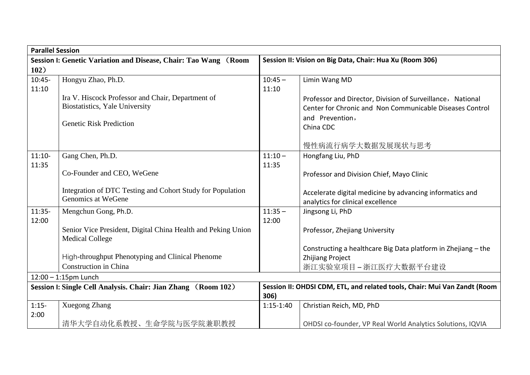| <b>Parallel Session</b>                                         |                                                               |                                                          |                                                                           |
|-----------------------------------------------------------------|---------------------------------------------------------------|----------------------------------------------------------|---------------------------------------------------------------------------|
| Session I: Genetic Variation and Disease, Chair: Tao Wang (Room |                                                               | Session II: Vision on Big Data, Chair: Hua Xu (Room 306) |                                                                           |
| 102)                                                            |                                                               |                                                          |                                                                           |
| $10:45 -$                                                       | Hongyu Zhao, Ph.D.                                            | $10:45 -$                                                | Limin Wang MD                                                             |
| 11:10                                                           |                                                               | 11:10                                                    |                                                                           |
|                                                                 | Ira V. Hiscock Professor and Chair, Department of             |                                                          | Professor and Director, Division of Surveillance, National                |
|                                                                 | Biostatistics, Yale University                                |                                                          | Center for Chronic and Non Communicable Diseases Control                  |
|                                                                 |                                                               |                                                          | and Prevention,                                                           |
|                                                                 | <b>Genetic Risk Prediction</b>                                |                                                          | China CDC                                                                 |
|                                                                 |                                                               |                                                          |                                                                           |
|                                                                 |                                                               |                                                          | 慢性病流行病学大数据发展现状与思考                                                         |
| $11:10-$                                                        | Gang Chen, Ph.D.                                              | $11:10 -$                                                | Hongfang Liu, PhD                                                         |
| 11:35                                                           |                                                               | 11:35                                                    |                                                                           |
|                                                                 | Co-Founder and CEO, WeGene                                    |                                                          | Professor and Division Chief, Mayo Clinic                                 |
|                                                                 |                                                               |                                                          |                                                                           |
|                                                                 | Integration of DTC Testing and Cohort Study for Population    |                                                          | Accelerate digital medicine by advancing informatics and                  |
|                                                                 | Genomics at WeGene                                            |                                                          | analytics for clinical excellence                                         |
| $11:35-$                                                        | Mengchun Gong, Ph.D.                                          | $11:35 -$                                                | Jingsong Li, PhD                                                          |
| 12:00                                                           |                                                               | 12:00                                                    |                                                                           |
|                                                                 | Senior Vice President, Digital China Health and Peking Union  |                                                          | Professor, Zhejiang University                                            |
|                                                                 | <b>Medical College</b>                                        |                                                          |                                                                           |
|                                                                 |                                                               |                                                          | Constructing a healthcare Big Data platform in Zhejiang - the             |
|                                                                 | High-throughput Phenotyping and Clinical Phenome              |                                                          | <b>Zhijiang Project</b>                                                   |
|                                                                 | Construction in China                                         |                                                          | 浙江实验室项目-浙江医疗大数据平台建设                                                       |
|                                                                 | $12:00 - 1:15$ pm Lunch                                       |                                                          |                                                                           |
|                                                                 | Session I: Single Cell Analysis. Chair: Jian Zhang (Room 102) |                                                          | Session II: OHDSI CDM, ETL, and related tools, Chair: Mui Van Zandt (Room |
|                                                                 |                                                               | 306)                                                     |                                                                           |
| $1:15-$                                                         | Xuegong Zhang                                                 | $1:15-1:40$                                              | Christian Reich, MD, PhD                                                  |
| 2:00                                                            |                                                               |                                                          |                                                                           |
|                                                                 | 清华大学自动化系教授、生命学院与医学院兼职教授                                       |                                                          | OHDSI co-founder, VP Real World Analytics Solutions, IQVIA                |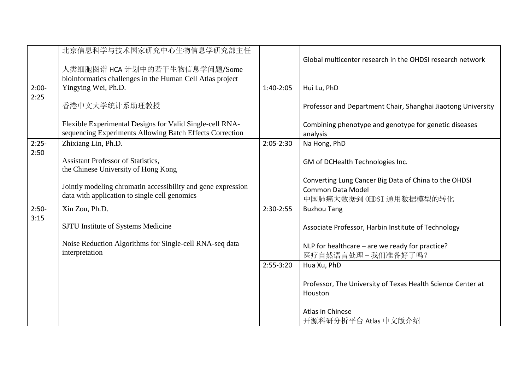|         | 北京信息科学与技术国家研究中心生物信息学研究部主任                                    |               |                                                              |
|---------|--------------------------------------------------------------|---------------|--------------------------------------------------------------|
|         |                                                              |               | Global multicenter research in the OHDSI research network    |
|         | 人类细胞图谱 HCA 计划中的若干生物信息学问题/Some                                |               |                                                              |
|         | bioinformatics challenges in the Human Cell Atlas project    |               |                                                              |
| $2:00-$ | Yingying Wei, Ph.D.                                          | 1:40-2:05     | Hui Lu, PhD                                                  |
| 2:25    | 香港中文大学统计系助理教授                                                |               | Professor and Department Chair, Shanghai Jiaotong University |
|         |                                                              |               |                                                              |
|         | Flexible Experimental Designs for Valid Single-cell RNA-     |               | Combining phenotype and genotype for genetic diseases        |
|         | sequencing Experiments Allowing Batch Effects Correction     |               | analysis                                                     |
| $2:25-$ | Zhixiang Lin, Ph.D.                                          | $2:05 - 2:30$ | Na Hong, PhD                                                 |
| 2:50    |                                                              |               |                                                              |
|         | <b>Assistant Professor of Statistics,</b>                    |               | GM of DCHealth Technologies Inc.                             |
|         | the Chinese University of Hong Kong                          |               |                                                              |
|         | Jointly modeling chromatin accessibility and gene expression |               | Converting Lung Cancer Big Data of China to the OHDSI        |
|         | data with application to single cell genomics                |               | <b>Common Data Model</b>                                     |
|         |                                                              |               | 中国肺癌大数据到 OHDSI 通用数据模型的转化                                     |
| $2:50-$ | Xin Zou, Ph.D.                                               | 2:30-2:55     | <b>Buzhou Tang</b>                                           |
| 3:15    | SJTU Institute of Systems Medicine                           |               | Associate Professor, Harbin Institute of Technology          |
|         |                                                              |               |                                                              |
|         | Noise Reduction Algorithms for Single-cell RNA-seq data      |               | NLP for healthcare - are we ready for practice?              |
|         | interpretation                                               |               | 医疗自然语言处理-我们准备好了吗?                                            |
|         |                                                              | $2:55-3:20$   | Hua Xu, PhD                                                  |
|         |                                                              |               |                                                              |
|         |                                                              |               | Professor, The University of Texas Health Science Center at  |
|         |                                                              |               | Houston                                                      |
|         |                                                              |               | Atlas in Chinese                                             |
|         |                                                              |               |                                                              |
|         |                                                              |               | 开源科研分析平台 Atlas 中文版介绍                                         |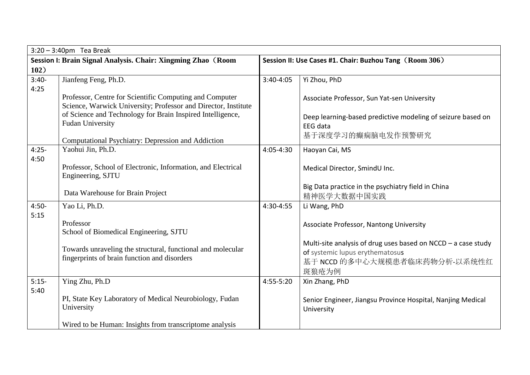| $3:20 - 3:40$ pm Tea Break                                   |                                                                                                                           |                                                         |                                                                                |
|--------------------------------------------------------------|---------------------------------------------------------------------------------------------------------------------------|---------------------------------------------------------|--------------------------------------------------------------------------------|
| Session I: Brain Signal Analysis. Chair: Xingming Zhao (Room |                                                                                                                           | Session II: Use Cases #1. Chair: Buzhou Tang (Room 306) |                                                                                |
| 102)                                                         |                                                                                                                           |                                                         |                                                                                |
| $3:40-$                                                      | Jianfeng Feng, Ph.D.                                                                                                      | 3:40-4:05                                               | Yi Zhou, PhD                                                                   |
| 4:25                                                         |                                                                                                                           |                                                         |                                                                                |
|                                                              | Professor, Centre for Scientific Computing and Computer<br>Science, Warwick University; Professor and Director, Institute |                                                         | Associate Professor, Sun Yat-sen University                                    |
|                                                              | of Science and Technology for Brain Inspired Intelligence,<br><b>Fudan University</b>                                     |                                                         | Deep learning-based predictive modeling of seizure based on<br><b>EEG</b> data |
|                                                              | Computational Psychiatry: Depression and Addiction                                                                        |                                                         | 基于深度学习的癫痫脑电发作预警研究                                                              |
| $4:25-$                                                      | Yaohui Jin, Ph.D.                                                                                                         | 4:05-4:30                                               | Haoyan Cai, MS                                                                 |
| 4:50                                                         | Professor, School of Electronic, Information, and Electrical<br>Engineering, SJTU                                         |                                                         | Medical Director, SmindU Inc.                                                  |
|                                                              | Data Warehouse for Brain Project                                                                                          |                                                         | Big Data practice in the psychiatry field in China<br>精神医学大数据中国实践              |
| $4:50-$                                                      | Yao Li, Ph.D.                                                                                                             | 4:30-4:55                                               | Li Wang, PhD                                                                   |
| 5:15                                                         | Professor<br>School of Biomedical Engineering, SJTU                                                                       |                                                         | Associate Professor, Nantong University                                        |
|                                                              |                                                                                                                           |                                                         | Multi-site analysis of drug uses based on $NCCD - a$ case study                |
|                                                              | Towards unraveling the structural, functional and molecular                                                               |                                                         | of systemic lupus erythematosus                                                |
|                                                              | fingerprints of brain function and disorders                                                                              |                                                         | 基于 NCCD 的多中心大规模患者临床药物分析-以系统性红                                                  |
|                                                              |                                                                                                                           |                                                         | 斑狼疮为例                                                                          |
| $5:15-$                                                      | Ying Zhu, Ph.D                                                                                                            | 4:55-5:20                                               | Xin Zhang, PhD                                                                 |
| 5:40                                                         | PI, State Key Laboratory of Medical Neurobiology, Fudan<br>University                                                     |                                                         | Senior Engineer, Jiangsu Province Hospital, Nanjing Medical<br>University      |
|                                                              | Wired to be Human: Insights from transcriptome analysis                                                                   |                                                         |                                                                                |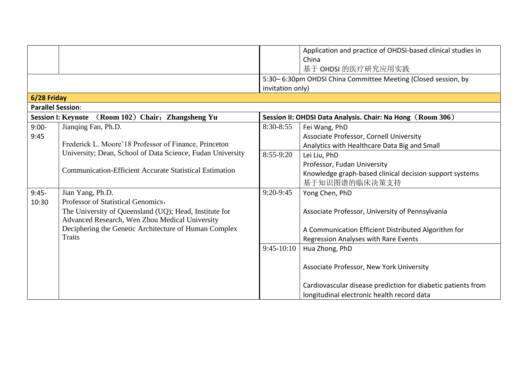|                          |                                                                |                  | Application and practice of OHDSI-based clinical studies in   |
|--------------------------|----------------------------------------------------------------|------------------|---------------------------------------------------------------|
|                          |                                                                |                  | China                                                         |
|                          |                                                                |                  | 基于 OHDSI 的医疗研究应用实践                                            |
|                          |                                                                |                  | 5:30-6:30pm OHDSI China Committee Meeting (Closed session, by |
|                          |                                                                | invitation only) |                                                               |
| 6/28 Friday              |                                                                |                  |                                                               |
| <b>Parallel Session:</b> |                                                                |                  |                                                               |
|                          | Session I: Keynote (Room 102) Chair: Zhangsheng Yu             |                  | Session II: OHDSI Data Analysis. Chair: Na Hong (Room 306)    |
| $9:00-$                  | Jianqing Fan, Ph.D.                                            | 8:30-8:55        | Fei Wang, PhD                                                 |
| 9:45                     |                                                                |                  | Associate Professor, Cornell University                       |
|                          | Frederick L. Moore'18 Professor of Finance, Princeton          |                  | Analytics with Healthcare Data Big and Small                  |
|                          | University; Dean, School of Data Science, Fudan University     | 8:55-9:20        | Lei Liu, PhD                                                  |
|                          |                                                                |                  | Professor, Fudan University                                   |
|                          | <b>Communication-Efficient Accurate Statistical Estimation</b> |                  | Knowledge graph-based clinical decision support systems       |
|                          |                                                                |                  | 基于知识图谱的临床决策支持                                                 |
| $9:45-$                  | Jian Yang, Ph.D.                                               | $9:20-9:45$      | Yong Chen, PhD                                                |
| 10:30                    | Professor of Statistical Genomics,                             |                  |                                                               |
|                          | The University of Queensland (UQ); Head, Institute for         |                  | Associate Professor, University of Pennsylvania               |
|                          | Advanced Research, Wen Zhou Medical University                 |                  |                                                               |
|                          | Deciphering the Genetic Architecture of Human Complex          |                  | A Communication Efficient Distributed Algorithm for           |
|                          | <b>Traits</b>                                                  |                  | Regression Analyses with Rare Events                          |
|                          |                                                                | $9:45-10:10$     | Hua Zhong, PhD                                                |
|                          |                                                                |                  |                                                               |
|                          |                                                                |                  | Associate Professor, New York University                      |
|                          |                                                                |                  |                                                               |
|                          |                                                                |                  | Cardiovascular disease prediction for diabetic patients from  |
|                          |                                                                |                  | longitudinal electronic health record data                    |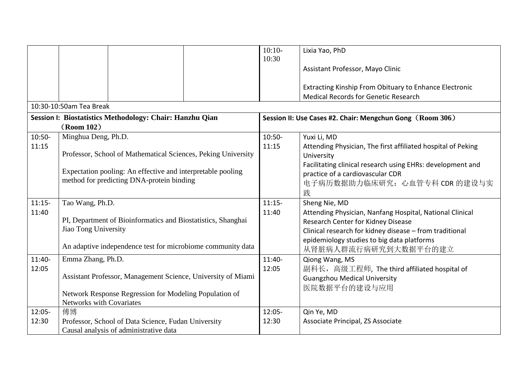|          |                                                               | $10:10-$  | Lixia Yao, PhD                                               |
|----------|---------------------------------------------------------------|-----------|--------------------------------------------------------------|
|          |                                                               | 10:30     |                                                              |
|          |                                                               |           | Assistant Professor, Mayo Clinic                             |
|          |                                                               |           | Extracting Kinship From Obituary to Enhance Electronic       |
|          |                                                               |           | <b>Medical Records for Genetic Research</b>                  |
|          | 10:30-10:50am Tea Break                                       |           |                                                              |
|          | Session I: Biostatistics Methodology: Chair: Hanzhu Qian      |           |                                                              |
|          | (Room 102)                                                    |           | Session II: Use Cases #2. Chair: Mengchun Gong (Room 306)    |
| $10:50-$ | Minghua Deng, Ph.D.                                           | $10:50-$  | Yuxi Li, MD                                                  |
| 11:15    |                                                               | 11:15     | Attending Physician, The first affiliated hospital of Peking |
|          | Professor, School of Mathematical Sciences, Peking University |           | University                                                   |
|          |                                                               |           | Facilitating clinical research using EHRs: development and   |
|          | Expectation pooling: An effective and interpretable pooling   |           | practice of a cardiovascular CDR                             |
|          | method for predicting DNA-protein binding                     |           | 电子病历数据助力临床研究: 心血管专科 CDR 的建设与实                                |
|          |                                                               |           | 践                                                            |
| $11:15-$ | Tao Wang, Ph.D.                                               | $11:15-$  | Sheng Nie, MD                                                |
| 11:40    |                                                               | 11:40     | Attending Physician, Nanfang Hospital, National Clinical     |
|          | PI, Department of Bioinformatics and Biostatistics, Shanghai  |           | Research Center for Kidney Disease                           |
|          | Jiao Tong University                                          |           | Clinical research for kidney disease - from traditional      |
|          |                                                               |           | epidemiology studies to big data platforms                   |
|          | An adaptive independence test for microbiome community data   |           | 从肾脏病人群流行病研究到大数据平台的建立                                         |
| 11:40-   | Emma Zhang, Ph.D.                                             | $11:40-$  | Qiong Wang, MS                                               |
| 12:05    |                                                               | 12:05     | 副科长,高级工程师, The third affiliated hospital of                  |
|          | Assistant Professor, Management Science, University of Miami  |           | <b>Guangzhou Medical University</b>                          |
|          |                                                               |           | 医院数据平台的建设与应用                                                 |
|          | Network Response Regression for Modeling Population of        |           |                                                              |
|          | Networks with Covariates                                      |           |                                                              |
| 12:05-   | 傅博                                                            | $12:05 -$ | Qin Ye, MD                                                   |
| 12:30    | Professor, School of Data Science, Fudan University           | 12:30     | Associate Principal, ZS Associate                            |
|          | Causal analysis of administrative data                        |           |                                                              |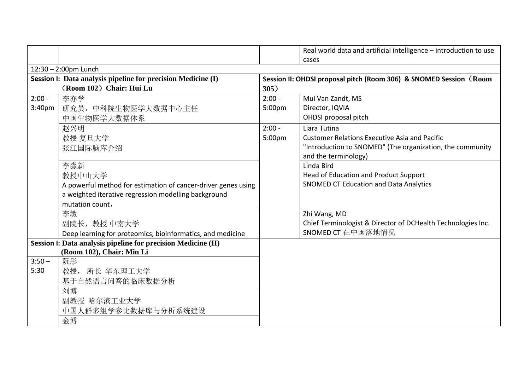|                                                              |                                                               |                                                                    | Real world data and artificial intelligence - introduction to use<br>cases |  |
|--------------------------------------------------------------|---------------------------------------------------------------|--------------------------------------------------------------------|----------------------------------------------------------------------------|--|
| $12:30 - 2:00$ pm Lunch                                      |                                                               |                                                                    |                                                                            |  |
| Session I: Data analysis pipeline for precision Medicine (I) |                                                               | Session II: OHDSI proposal pitch (Room 306) & SNOMED Session (Room |                                                                            |  |
|                                                              | (Room 102) Chair: Hui Lu                                      | 305)                                                               |                                                                            |  |
| $2:00 -$                                                     | 李亦学                                                           | $2:00 -$                                                           | Mui Van Zandt, MS                                                          |  |
| 3:40 <sub>pm</sub>                                           | 研究员, 中科院生物医学大数据中心主任                                           | 5:00pm                                                             | Director, IQVIA                                                            |  |
|                                                              | 中国生物医学大数据体系                                                   |                                                                    | OHDSI proposal pitch                                                       |  |
|                                                              | 赵兴明                                                           | $2:00 -$                                                           | Liara Tutina                                                               |  |
|                                                              | 教授 复旦大学                                                       | 5:00pm                                                             | <b>Customer Relations Executive Asia and Pacific</b>                       |  |
|                                                              | 张江国际脑库介绍                                                      |                                                                    | "Introduction to SNOMED" (The organization, the community                  |  |
|                                                              |                                                               |                                                                    | and the terminology)                                                       |  |
|                                                              | 李淼新                                                           |                                                                    | Linda Bird                                                                 |  |
|                                                              | 教授中山大学                                                        |                                                                    | Head of Education and Product Support                                      |  |
|                                                              | A powerful method for estimation of cancer-driver genes using |                                                                    | <b>SNOMED CT Education and Data Analytics</b>                              |  |
|                                                              | a weighted iterative regression modelling background          |                                                                    |                                                                            |  |
|                                                              | mutation count,                                               |                                                                    |                                                                            |  |
|                                                              | 李敏                                                            |                                                                    | Zhi Wang, MD                                                               |  |
|                                                              | 副院长, 教授 中南大学                                                  |                                                                    | Chief Terminologist & Director of DCHealth Technologies Inc.               |  |
|                                                              | Deep learning for proteomics, bioinformatics, and medicine    |                                                                    | SNOMED CT 在中国落地情况                                                          |  |
|                                                              | Session I: Data analysis pipeline for precision Medicine (II) |                                                                    |                                                                            |  |
|                                                              | (Room 102), Chair: Min Li                                     |                                                                    |                                                                            |  |
| $3:50 -$                                                     | 阮彤                                                            |                                                                    |                                                                            |  |
| 5:30                                                         | 教授, 所长 华东理工大学                                                 |                                                                    |                                                                            |  |
|                                                              | 基于自然语言问答的临床数据分析                                               |                                                                    |                                                                            |  |
|                                                              | 刘博                                                            |                                                                    |                                                                            |  |
|                                                              | 副教授 哈尔滨工业大学                                                   |                                                                    |                                                                            |  |
|                                                              | 中国人群多组学参比数据库与分析系统建设                                           |                                                                    |                                                                            |  |
|                                                              | 金博                                                            |                                                                    |                                                                            |  |